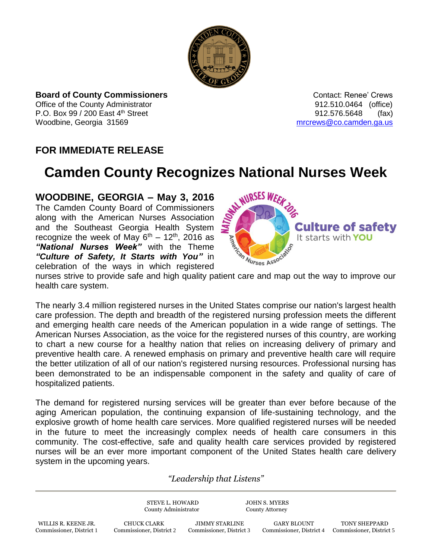

**Board of County Commissioners Contact: Renee' Crews Contact: Renee' Crews** Office of the County Administrator **Connect County Administrator 1000** Connect 2012.510.0464 (office) P.O. Box 99 / 200 East 4<sup>th</sup> Street 912.576.5648 (fax) Woodbine, Georgia 31569 [mrcrews@co.camden.ga.us](mailto:mrcrews@co.camden.ga.us)

## **FOR IMMEDIATE RELEASE**

## **Camden County Recognizes National Nurses Week**

**WOODBINE, GEORGIA – May 3, 2016** The Camden County Board of Commissioners along with the American Nurses Association and the Southeast Georgia Health System recognize the week of May  $6^{th}$  – 12<sup>th</sup>, 2016 as *"National Nurses Week"* with the Theme *"Culture of Safety, It Starts with You"* in celebration of the ways in which registered



nurses strive to provide safe and high quality patient care and map out the way to improve our health care system.

The nearly 3.4 million registered nurses in the United States comprise our nation's largest health care profession. The depth and breadth of the registered nursing profession meets the different and emerging health care needs of the American population in a wide range of settings. The American Nurses Association, as the voice for the registered nurses of this country, are working to chart a new course for a healthy nation that relies on increasing delivery of primary and preventive health care. A renewed emphasis on primary and preventive health care will require the better utilization of all of our nation's registered nursing resources. Professional nursing has been demonstrated to be an indispensable component in the safety and quality of care of hospitalized patients.

The demand for registered nursing services will be greater than ever before because of the aging American population, the continuing expansion of life-sustaining technology, and the explosive growth of home health care services. More qualified registered nurses will be needed in the future to meet the increasingly complex needs of health care consumers in this community. The cost-effective, safe and quality health care services provided by registered nurses will be an ever more important component of the United States health care delivery system in the upcoming years.

*"Leadership that Listens"*

|                                                 | STEVE L. HOWARD<br>County Administrator |                                                   | <b>JOHN S. MYERS</b><br><b>County Attorney</b> |                                           |
|-------------------------------------------------|-----------------------------------------|---------------------------------------------------|------------------------------------------------|-------------------------------------------|
| WILLIS R. KEENE JR.<br>Commissioner, District 1 | CHUCK CLARK<br>Commissioner, District 2 | <b>JIMMY STARLINE</b><br>Commissioner, District 3 | <b>GARY BLOUNT</b><br>Commissioner, District 4 | TONY SHEPPARD<br>Commissioner, District 5 |